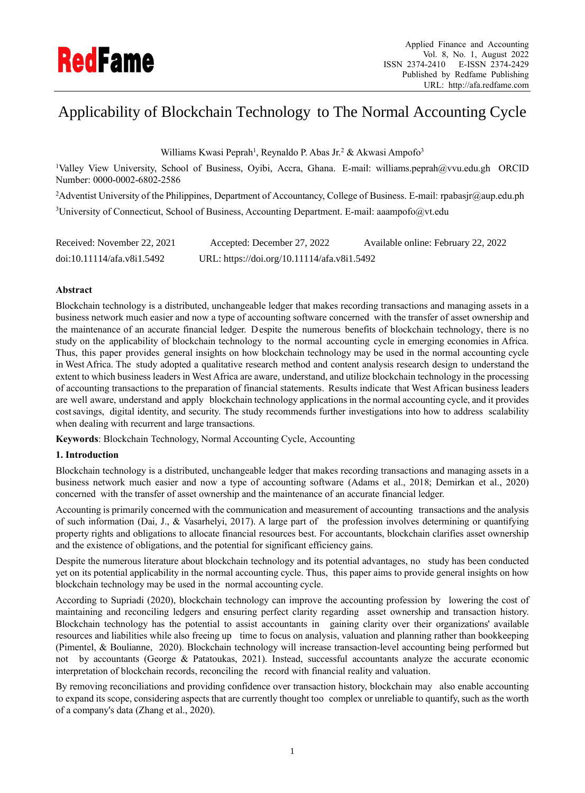

# Applicability of Blockchain Technology to The Normal Accounting Cycle

Williams Kwasi Peprah<sup>1</sup>, Reynaldo P. Abas Jr.<sup>2</sup> & Akwasi Ampofo<sup>3</sup>

<sup>1</sup>Valley View University, School of Business, Oyibi, Accra, Ghana. E-mail: williams.peprah@vvu.edu.gh ORCID Number: 0000-0002-6802-2586

<sup>2</sup>Adventist University of the Philippines, Department of Accountancy, College of Business. E-mail[: rpabasjr@aup.edu.ph](mailto:rpabasjr@aup.edu.ph) <sup>3</sup>University of Connecticut, School of Business, Accounting Department. E-mail: aaampofo@vt.edu

| Received: November 22, 2021 | Accepted: December 27, 2022                 | Available online: February 22, 2022 |
|-----------------------------|---------------------------------------------|-------------------------------------|
| doi:10.11114/afa.v8i1.5492  | URL: https://doi.org/10.11114/afa.v8i1.5492 |                                     |

## **Abstract**

Blockchain technology is a distributed, unchangeable ledger that makes recording transactions and managing assets in a business network much easier and now a type of accounting software concerned with the transfer of asset ownership and the maintenance of an accurate financial ledger. Despite the numerous benefits of blockchain technology, there is no study on the applicability of blockchain technology to the normal accounting cycle in emerging economies in Africa. Thus, this paper provides general insights on how blockchain technology may be used in the normal accounting cycle in West Africa. The study adopted a qualitative research method and content analysis research design to understand the extent to which business leaders in West Africa are aware, understand, and utilize blockchain technology in the processing of accounting transactions to the preparation of financial statements. Results indicate that West African business leaders are well aware, understand and apply blockchain technology applications in the normal accounting cycle, and it provides costsavings, digital identity, and security. The study recommends further investigations into how to address scalability when dealing with recurrent and large transactions.

**Keywords**: Blockchain Technology, Normal Accounting Cycle, Accounting

## **1. Introduction**

Blockchain technology is a distributed, unchangeable ledger that makes recording transactions and managing assets in a business network much easier and now a type of accounting software (Adams et al., 2018; Demirkan et al., 2020) concerned with the transfer of asset ownership and the maintenance of an accurate financial ledger.

Accounting is primarily concerned with the communication and measurement of accounting transactions and the analysis of such information (Dai, J., & Vasarhelyi, 2017). A large part of the profession involves determining or quantifying property rights and obligations to allocate financial resources best. For accountants, blockchain clarifies asset ownership and the existence of obligations, and the potential for significant efficiency gains.

Despite the numerous literature about blockchain technology and its potential advantages, no study has been conducted yet on its potential applicability in the normal accounting cycle. Thus, this paper aims to provide general insights on how blockchain technology may be used in the normal accounting cycle.

According to Supriadi (2020), blockchain technology can improve the accounting profession by lowering the cost of maintaining and reconciling ledgers and ensuring perfect clarity regarding asset ownership and transaction history. Blockchain technology has the potential to assist accountants in gaining clarity over their organizations' available resources and liabilities while also freeing up time to focus on analysis, valuation and planning rather than bookkeeping (Pimentel, & Boulianne, 2020). Blockchain technology will increase transaction-level accounting being performed but not by accountants (George & Patatoukas, 2021). Instead, successful accountants analyze the accurate economic interpretation of blockchain records, reconciling the record with financial reality and valuation.

By removing reconciliations and providing confidence over transaction history, blockchain may also enable accounting to expand its scope, considering aspects that are currently thought too complex or unreliable to quantify, such as the worth of a company's data (Zhang et al., 2020).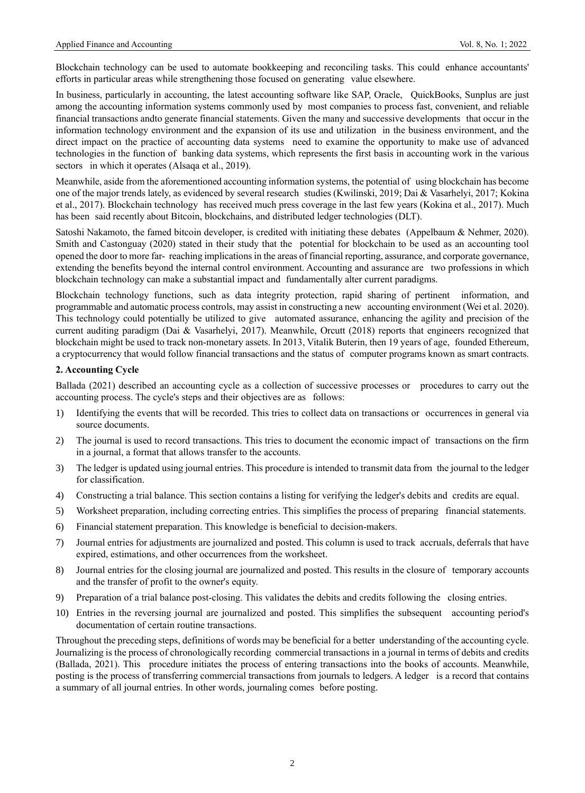Blockchain technology can be used to automate bookkeeping and reconciling tasks. This could enhance accountants' efforts in particular areas while strengthening those focused on generating value elsewhere.

In business, particularly in accounting, the latest accounting software like SAP, Oracle, QuickBooks, Sunplus are just among the accounting information systems commonly used by most companies to process fast, convenient, and reliable financial transactions andto generate financial statements. Given the many and successive developments that occur in the information technology environment and the expansion of its use and utilization in the business environment, and the direct impact on the practice of accounting data systems need to examine the opportunity to make use of advanced technologies in the function of banking data systems, which represents the first basis in accounting work in the various sectors in which it operates (Alsaqa et al., 2019).

Meanwhile, aside from the aforementioned accounting information systems, the potential of using blockchain has become one of the major trends lately, as evidenced by several research studies (Kwilinski, 2019; Dai & Vasarhelyi, 2017; Kokina et al., 2017). Blockchain technology has received much press coverage in the last few years (Kokina et al., 2017). Much has been said recently about Bitcoin, blockchains, and distributed ledger technologies (DLT).

Satoshi Nakamoto, the famed bitcoin developer, is credited with initiating these debates (Appelbaum & Nehmer, 2020). Smith and Castonguay (2020) stated in their study that the potential for blockchain to be used as an accounting tool opened the door to more far- reaching implicationsin the areas of financial reporting, assurance, and corporate governance, extending the benefits beyond the internal control environment. Accounting and assurance are two professions in which blockchain technology can make a substantial impact and fundamentally alter current paradigms.

Blockchain technology functions, such as data integrity protection, rapid sharing of pertinent information, and programmable and automatic process controls, may assist in constructing a new accounting environment (Wei et al. 2020). This technology could potentially be utilized to give automated assurance, enhancing the agility and precision of the current auditing paradigm (Dai & Vasarhelyi, 2017). Meanwhile, Orcutt (2018) reports that engineers recognized that blockchain might be used to track non-monetary assets. In 2013, Vitalik Buterin, then 19 years of age, founded Ethereum, a cryptocurrency that would follow financial transactions and the status of computer programs known as smart contracts.

# **2. Accounting Cycle**

Ballada (2021) described an accounting cycle as a collection of successive processes or procedures to carry out the accounting process. The cycle's steps and their objectives are as follows:

- 1) Identifying the events that will be recorded. This tries to collect data on transactions or occurrences in general via source documents.
- 2) The journal is used to record transactions. This tries to document the economic impact of transactions on the firm in a journal, a format that allows transfer to the accounts.
- 3) The ledger is updated using journal entries. This procedure is intended to transmit data from the journal to the ledger for classification.
- 4) Constructing a trial balance. This section contains a listing for verifying the ledger's debits and credits are equal.
- 5) Worksheet preparation, including correcting entries. This simplifies the process of preparing financial statements.
- 6) Financial statement preparation. This knowledge is beneficial to decision-makers.
- 7) Journal entries for adjustments are journalized and posted. This column is used to track accruals, deferrals that have expired, estimations, and other occurrences from the worksheet.
- 8) Journal entries for the closing journal are journalized and posted. This results in the closure of temporary accounts and the transfer of profit to the owner's equity.
- 9) Preparation of a trial balance post-closing. This validates the debits and credits following the closing entries.
- 10) Entries in the reversing journal are journalized and posted. This simplifies the subsequent accounting period's documentation of certain routine transactions.

Throughout the preceding steps, definitions of words may be beneficial for a better understanding of the accounting cycle. Journalizing is the process of chronologically recording commercial transactions in a journal in terms of debits and credits (Ballada, 2021). This procedure initiates the process of entering transactions into the books of accounts. Meanwhile, posting is the process of transferring commercial transactions from journals to ledgers. A ledger is a record that contains a summary of all journal entries. In other words, journaling comes before posting.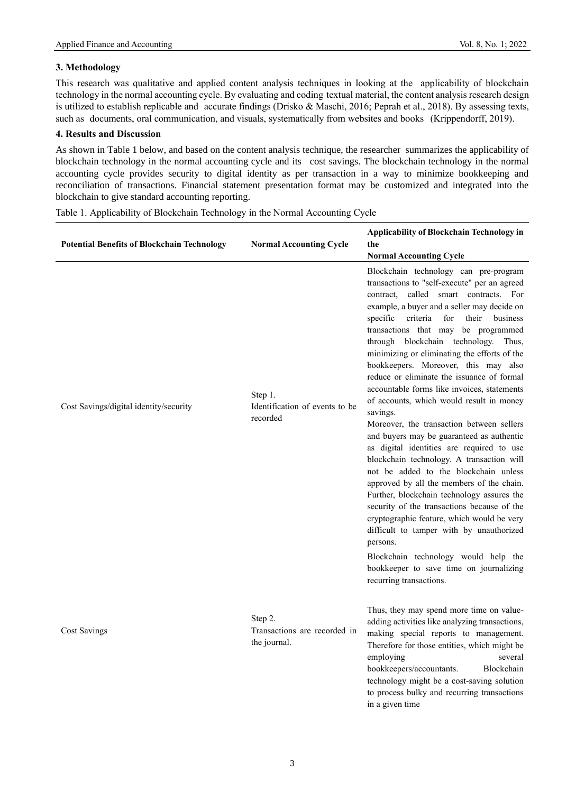# **3. Methodology**

This research was qualitative and applied content analysis techniques in looking at the applicability of blockchain technology in the normal accounting cycle. By evaluating and coding textual material, the content analysis research design is utilized to establish replicable and accurate findings (Drisko & Maschi, 2016; Peprah et al., 2018). By assessing texts, such as documents, oral communication, and visuals, systematically from websites and books (Krippendorff, 2019).

# **4. Results and Discussion**

As shown in Table 1 below, and based on the content analysis technique, the researcher summarizes the applicability of blockchain technology in the normal accounting cycle and its cost savings. The blockchain technology in the normal accounting cycle provides security to digital identity as per transaction in a way to minimize bookkeeping and reconciliation of transactions. Financial statement presentation format may be customized and integrated into the blockchain to give standard accounting reporting.

Table 1. Applicability of Blockchain Technology in the Normal Accounting Cycle

| <b>Potential Benefits of Blockchain Technology</b> | <b>Normal Accounting Cycle</b>                          | Applicability of Blockchain Technology in<br>the<br><b>Normal Accounting Cycle</b>                                                                                                                                                                                                                                                                                                                                                                                                                                                                                                                                                                                                                                                                                                                                                                                                                                                                                                                                                                                                                                                                       |
|----------------------------------------------------|---------------------------------------------------------|----------------------------------------------------------------------------------------------------------------------------------------------------------------------------------------------------------------------------------------------------------------------------------------------------------------------------------------------------------------------------------------------------------------------------------------------------------------------------------------------------------------------------------------------------------------------------------------------------------------------------------------------------------------------------------------------------------------------------------------------------------------------------------------------------------------------------------------------------------------------------------------------------------------------------------------------------------------------------------------------------------------------------------------------------------------------------------------------------------------------------------------------------------|
| Cost Savings/digital identity/security             | Step 1.<br>Identification of events to be<br>recorded   | Blockchain technology can pre-program<br>transactions to "self-execute" per an agreed<br>contract, called smart contracts. For<br>example, a buyer and a seller may decide on<br>specific<br>criteria<br>for<br>their<br>business<br>transactions that may be programmed<br>through blockchain technology. Thus,<br>minimizing or eliminating the efforts of the<br>bookkeepers. Moreover, this may also<br>reduce or eliminate the issuance of formal<br>accountable forms like invoices, statements<br>of accounts, which would result in money<br>savings.<br>Moreover, the transaction between sellers<br>and buyers may be guaranteed as authentic<br>as digital identities are required to use<br>blockchain technology. A transaction will<br>not be added to the blockchain unless<br>approved by all the members of the chain.<br>Further, blockchain technology assures the<br>security of the transactions because of the<br>cryptographic feature, which would be very<br>difficult to tamper with by unauthorized<br>persons.<br>Blockchain technology would help the<br>bookkeeper to save time on journalizing<br>recurring transactions. |
| Cost Savings                                       | Step 2.<br>Transactions are recorded in<br>the journal. | Thus, they may spend more time on value-<br>adding activities like analyzing transactions,<br>making special reports to management.<br>Therefore for those entities, which might be<br>employing<br>several<br>bookkeepers/accountants.<br>Blockchain<br>technology might be a cost-saving solution<br>to process bulky and recurring transactions<br>in a given time                                                                                                                                                                                                                                                                                                                                                                                                                                                                                                                                                                                                                                                                                                                                                                                    |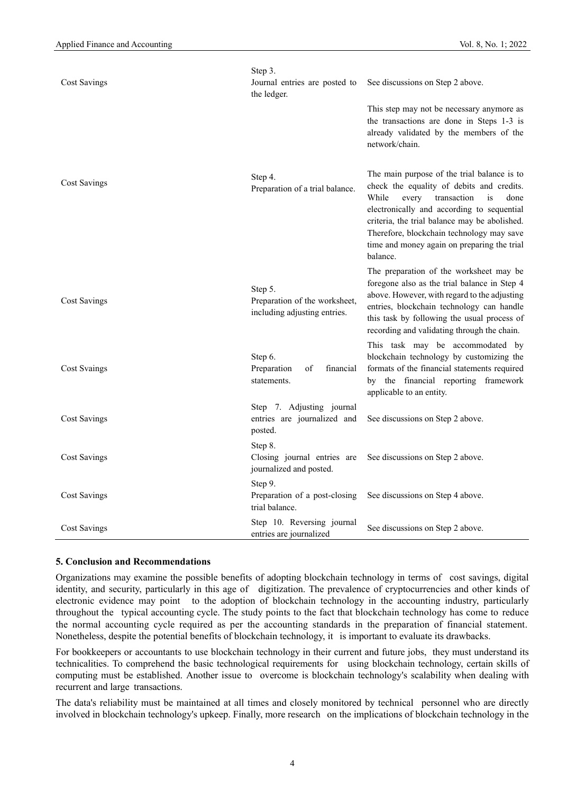| <b>Cost Savings</b> | Step 3.<br>Journal entries are posted to<br>the ledger.                  | See discussions on Step 2 above.<br>This step may not be necessary anymore as<br>the transactions are done in Steps 1-3 is<br>already validated by the members of the<br>network/chain.                                                                                                                                                        |
|---------------------|--------------------------------------------------------------------------|------------------------------------------------------------------------------------------------------------------------------------------------------------------------------------------------------------------------------------------------------------------------------------------------------------------------------------------------|
| <b>Cost Savings</b> | Step 4.<br>Preparation of a trial balance.                               | The main purpose of the trial balance is to<br>check the equality of debits and credits.<br>While<br>every<br>transaction<br>is<br>done<br>electronically and according to sequential<br>criteria, the trial balance may be abolished.<br>Therefore, blockchain technology may save<br>time and money again on preparing the trial<br>balance. |
| <b>Cost Savings</b> | Step 5.<br>Preparation of the worksheet,<br>including adjusting entries. | The preparation of the worksheet may be<br>foregone also as the trial balance in Step 4<br>above. However, with regard to the adjusting<br>entries, blockchain technology can handle<br>this task by following the usual process of<br>recording and validating through the chain.                                                             |
| Cost Svaings        | Step 6.<br>Preparation<br>financial<br>οf<br>statements.                 | This task may be accommodated by<br>blockchain technology by customizing the<br>formats of the financial statements required<br>by the financial reporting framework<br>applicable to an entity.                                                                                                                                               |
| <b>Cost Savings</b> | Step 7. Adjusting journal<br>entries are journalized and<br>posted.      | See discussions on Step 2 above.                                                                                                                                                                                                                                                                                                               |
| <b>Cost Savings</b> | Step 8.<br>Closing journal entries are<br>journalized and posted.        | See discussions on Step 2 above.                                                                                                                                                                                                                                                                                                               |
| <b>Cost Savings</b> | Step 9.<br>Preparation of a post-closing<br>trial balance.               | See discussions on Step 4 above.                                                                                                                                                                                                                                                                                                               |
| Cost Savings        | Step 10. Reversing journal<br>entries are journalized                    | See discussions on Step 2 above.                                                                                                                                                                                                                                                                                                               |

#### **5. Conclusion and Recommendations**

Organizations may examine the possible benefits of adopting blockchain technology in terms of cost savings, digital identity, and security, particularly in this age of digitization. The prevalence of cryptocurrencies and other kinds of electronic evidence may point to the adoption of blockchain technology in the accounting industry, particularly throughout the typical accounting cycle. The study points to the fact that blockchain technology has come to reduce the normal accounting cycle required as per the accounting standards in the preparation of financial statement. Nonetheless, despite the potential benefits of blockchain technology, it is important to evaluate its drawbacks.

For bookkeepers or accountants to use blockchain technology in their current and future jobs, they must understand its technicalities. To comprehend the basic technological requirements for using blockchain technology, certain skills of computing must be established. Another issue to overcome is blockchain technology's scalability when dealing with recurrent and large transactions.

The data's reliability must be maintained at all times and closely monitored by technical personnel who are directly involved in blockchain technology's upkeep. Finally, more research on the implications of blockchain technology in the